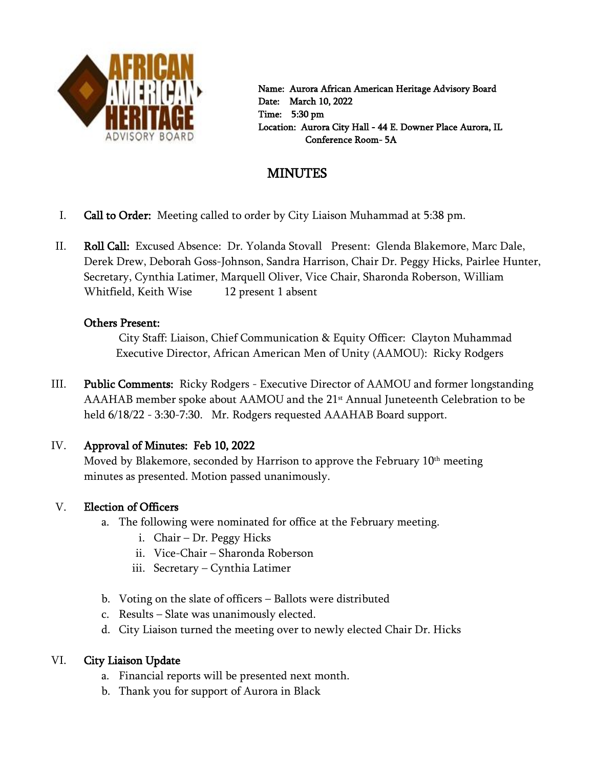

 Name: Aurora African American Heritage Advisory Board Date: March 10, 2022 Time: 5:30 pm Location: Aurora City Hall - 44 E. Downer Place Aurora, IL Conference Room- 5A

# **MINUTES**

- I. Call to Order: Meeting called to order by City Liaison Muhammad at 5:38 pm.
- II. Roll Call: Excused Absence: Dr. Yolanda Stovall Present: Glenda Blakemore, Marc Dale, Derek Drew, Deborah Goss-Johnson, Sandra Harrison, Chair Dr. Peggy Hicks, Pairlee Hunter, Secretary, Cynthia Latimer, Marquell Oliver, Vice Chair, Sharonda Roberson, William Whitfield, Keith Wise 12 present 1 absent

### Others Present:

City Staff: Liaison, Chief Communication & Equity Officer: Clayton Muhammad Executive Director, African American Men of Unity (AAMOU): Ricky Rodgers

III. Public Comments: Ricky Rodgers - Executive Director of AAMOU and former longstanding AAAHAB member spoke about AAMOU and the 21<sup>st</sup> Annual Juneteenth Celebration to be held 6/18/22 - 3:30-7:30. Mr. Rodgers requested AAAHAB Board support.

## IV. Approval of Minutes: Feb 10, 2022

Moved by Blakemore, seconded by Harrison to approve the February 10<sup>th</sup> meeting minutes as presented. Motion passed unanimously.

## V. Election of Officers

- a. The following were nominated for office at the February meeting.
	- i. Chair Dr. Peggy Hicks
	- ii. Vice-Chair Sharonda Roberson
	- iii. Secretary Cynthia Latimer
- b. Voting on the slate of officers Ballots were distributed
- c. Results Slate was unanimously elected.
- d. City Liaison turned the meeting over to newly elected Chair Dr. Hicks

## VI. City Liaison Update

- a. Financial reports will be presented next month.
- b. Thank you for support of Aurora in Black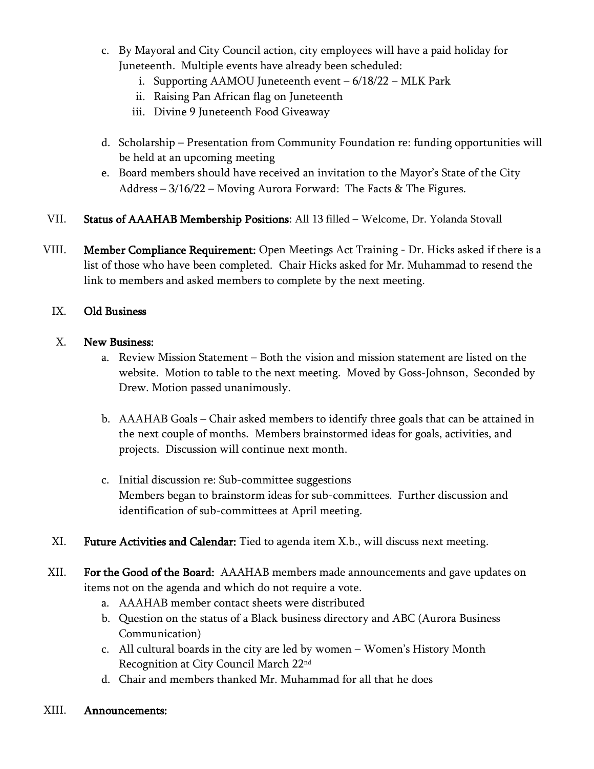- c. By Mayoral and City Council action, city employees will have a paid holiday for Juneteenth. Multiple events have already been scheduled:
	- i. Supporting AAMOU Juneteenth event 6/18/22 MLK Park
	- ii. Raising Pan African flag on Juneteenth
	- iii. Divine 9 Juneteenth Food Giveaway
- d. Scholarship Presentation from Community Foundation re: funding opportunities will be held at an upcoming meeting
- e. Board members should have received an invitation to the Mayor's State of the City Address – 3/16/22 – Moving Aurora Forward: The Facts & The Figures.
- VII. Status of AAAHAB Membership Positions: All 13 filled Welcome, Dr. Yolanda Stovall
- VIII. Member Compliance Requirement: Open Meetings Act Training Dr. Hicks asked if there is a list of those who have been completed. Chair Hicks asked for Mr. Muhammad to resend the link to members and asked members to complete by the next meeting.

#### IX. Old Business

#### X. New Business:

- a. Review Mission Statement Both the vision and mission statement are listed on the website. Motion to table to the next meeting. Moved by Goss-Johnson, Seconded by Drew. Motion passed unanimously.
- b. AAAHAB Goals Chair asked members to identify three goals that can be attained in the next couple of months. Members brainstormed ideas for goals, activities, and projects. Discussion will continue next month.
- c. Initial discussion re: Sub-committee suggestions Members began to brainstorm ideas for sub-committees. Further discussion and identification of sub-committees at April meeting.
- XI. Future Activities and Calendar: Tied to agenda item X.b., will discuss next meeting.
- XII. For the Good of the Board: AAAHAB members made announcements and gave updates on items not on the agenda and which do not require a vote.
	- a. AAAHAB member contact sheets were distributed
	- b. Question on the status of a Black business directory and ABC (Aurora Business Communication)
	- c. All cultural boards in the city are led by women Women's History Month Recognition at City Council March 22nd
	- d. Chair and members thanked Mr. Muhammad for all that he does

#### XIII. Announcements: